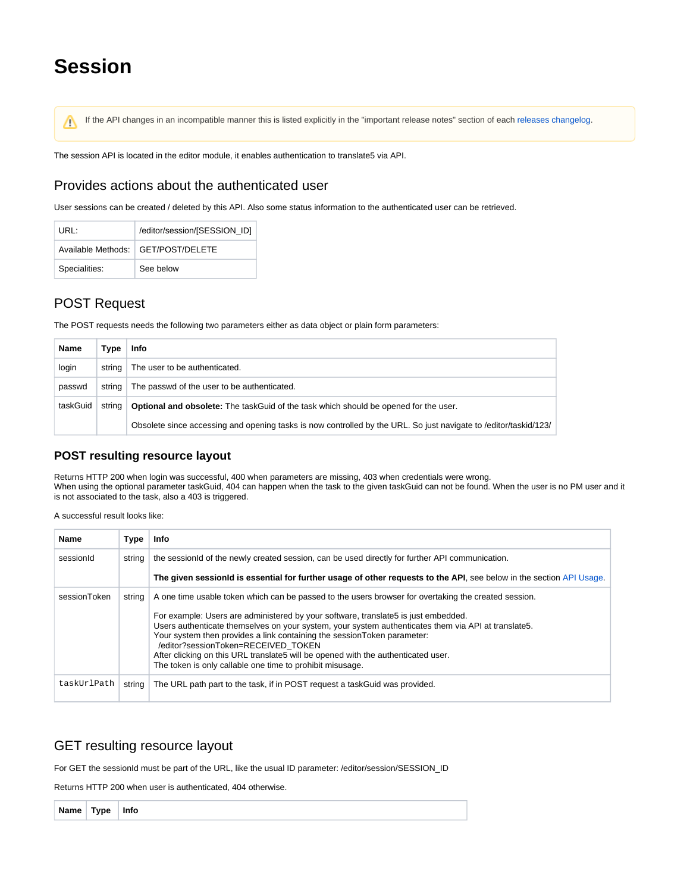# **Session**

If the API changes in an incompatible manner this is listed explicitly in the "important release notes" section of each [releases changelog](https://confluence.translate5.net/display/CON/Translate5+Changelog).Δ

The session API is located in the editor module, it enables authentication to translate5 via API.

#### Provides actions about the authenticated user

User sessions can be created / deleted by this API. Also some status information to the authenticated user can be retrieved.

| URI ·         | /editor/session/[SESSION ID]         |
|---------------|--------------------------------------|
|               | Available Methods:   GET/POST/DELETE |
| Specialities: | See below                            |

# POST Request

The POST requests needs the following two parameters either as data object or plain form parameters:

| Name     | Type   | Info                                                                                                             |
|----------|--------|------------------------------------------------------------------------------------------------------------------|
| login    | string | The user to be authenticated.                                                                                    |
| passwd   | string | The passwd of the user to be authenticated.                                                                      |
| taskGuid | strina | <b>Optional and obsolete:</b> The taskGuid of the task which should be opened for the user.                      |
|          |        | Obsolete since accessing and opening tasks is now controlled by the URL. So just navigate to /editor/taskid/123/ |

#### **POST resulting resource layout**

Returns HTTP 200 when login was successful, 400 when parameters are missing, 403 when credentials were wrong. When using the optional parameter taskGuid, 404 can happen when the task to the given taskGuid can not be found. When the user is no PM user and it is not associated to the task, also a 403 is triggered.

A successful result looks like:

| <b>Name</b>  | Type   | Info                                                                                                                                                                                                                                                                                                                                                                                                                                                                                                                                                                    |
|--------------|--------|-------------------------------------------------------------------------------------------------------------------------------------------------------------------------------------------------------------------------------------------------------------------------------------------------------------------------------------------------------------------------------------------------------------------------------------------------------------------------------------------------------------------------------------------------------------------------|
| sessionId    | string | the sessionid of the newly created session, can be used directly for further API communication.                                                                                                                                                                                                                                                                                                                                                                                                                                                                         |
|              |        | The given sessionid is essential for further usage of other requests to the API, see below in the section API Usage.                                                                                                                                                                                                                                                                                                                                                                                                                                                    |
| sessionToken | strina | A one time usable token which can be passed to the users browser for overtaking the created session.<br>For example: Users are administered by your software, translate 5 is just embedded.<br>Users authenticate themselves on your system, your system authenticates them via API at translate5.<br>Your system then provides a link containing the session Token parameter:<br>/editor?sessionToken=RECEIVED TOKEN<br>After clicking on this URL translate5 will be opened with the authenticated user.<br>The token is only callable one time to prohibit misusage. |
| taskUrlPath  | string | The URL path part to the task, if in POST request a task Guid was provided.                                                                                                                                                                                                                                                                                                                                                                                                                                                                                             |

## GET resulting resource layout

For GET the sessionId must be part of the URL, like the usual ID parameter: /editor/session/SESSION\_ID

Returns HTTP 200 when user is authenticated, 404 otherwise.

**Name Type Info**